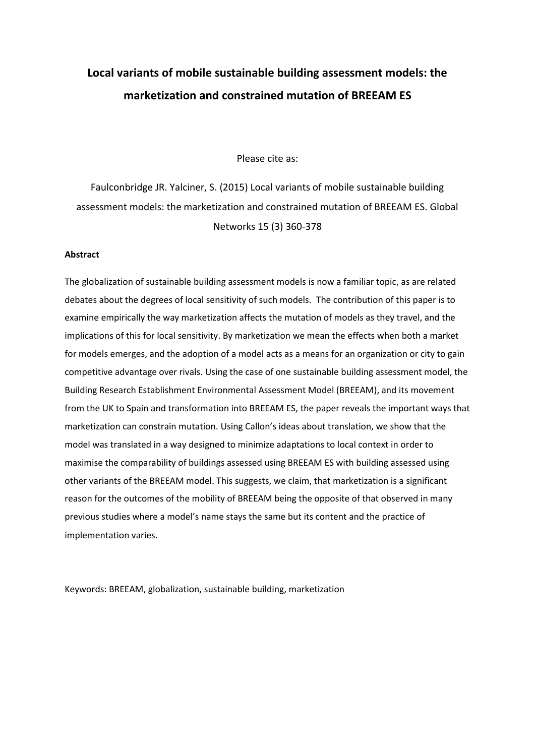# **Local variants of mobile sustainable building assessment models: the marketization and constrained mutation of BREEAM ES**

Please cite as:

Faulconbridge JR. Yalciner, S. (2015) Local variants of mobile sustainable building assessment models: the marketization and constrained mutation of BREEAM ES. Global Networks 15 (3) 360-378

# **Abstract**

The globalization of sustainable building assessment models is now a familiar topic, as are related debates about the degrees of local sensitivity of such models. The contribution of this paper is to examine empirically the way marketization affects the mutation of models as they travel, and the implications of this for local sensitivity. By marketization we mean the effects when both a market for models emerges, and the adoption of a model acts as a means for an organization or city to gain competitive advantage over rivals. Using the case of one sustainable building assessment model, the Building Research Establishment Environmental Assessment Model (BREEAM), and its movement from the UK to Spain and transformation into BREEAM ES, the paper reveals the important ways that marketization can constrain mutation. Using Callon's ideas about translation, we show that the model was translated in a way designed to minimize adaptations to local context in order to maximise the comparability of buildings assessed using BREEAM ES with building assessed using other variants of the BREEAM model. This suggests, we claim, that marketization is a significant reason for the outcomes of the mobility of BREEAM being the opposite of that observed in many previous studies where a model's name stays the same but its content and the practice of implementation varies.

Keywords: BREEAM, globalization, sustainable building, marketization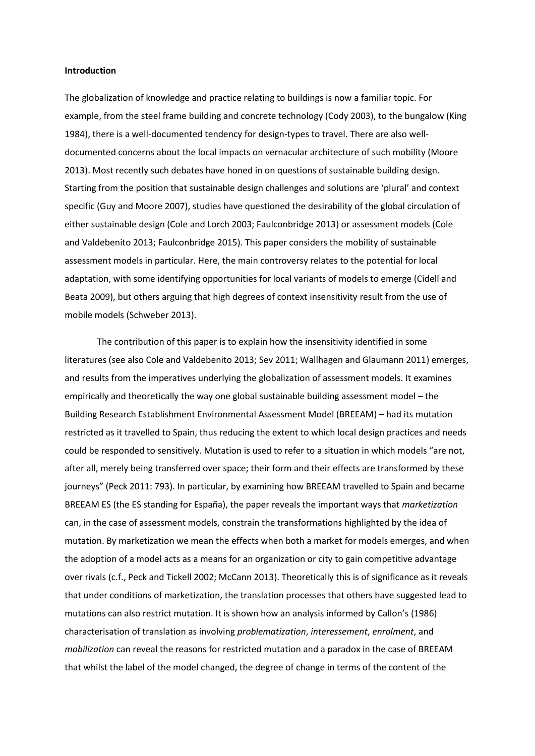# **Introduction**

The globalization of knowledge and practice relating to buildings is now a familiar topic. For example, from the steel frame building and concrete technology (Cody 2003), to the bungalow (King 1984), there is a well-documented tendency for design-types to travel. There are also welldocumented concerns about the local impacts on vernacular architecture of such mobility (Moore 2013). Most recently such debates have honed in on questions of sustainable building design. Starting from the position that sustainable design challenges and solutions are 'plural' and context specific (Guy and Moore 2007), studies have questioned the desirability of the global circulation of either sustainable design (Cole and Lorch 2003; Faulconbridge 2013) or assessment models (Cole and Valdebenito 2013; Faulconbridge 2015). This paper considers the mobility of sustainable assessment models in particular. Here, the main controversy relates to the potential for local adaptation, with some identifying opportunities for local variants of models to emerge (Cidell and Beata 2009), but others arguing that high degrees of context insensitivity result from the use of mobile models (Schweber 2013).

The contribution of this paper is to explain how the insensitivity identified in some literatures (see also Cole and Valdebenito 2013; Sev 2011; Wallhagen and Glaumann 2011) emerges, and results from the imperatives underlying the globalization of assessment models. It examines empirically and theoretically the way one global sustainable building assessment model – the Building Research Establishment Environmental Assessment Model (BREEAM) – had its mutation restricted as it travelled to Spain, thus reducing the extent to which local design practices and needs could be responded to sensitively. Mutation is used to refer to a situation in which models "are not, after all, merely being transferred over space; their form and their effects are transformed by these journeys" (Peck 2011: 793). In particular, by examining how BREEAM travelled to Spain and became BREEAM ES (the ES standing for España), the paper reveals the important ways that *marketization* can, in the case of assessment models, constrain the transformations highlighted by the idea of mutation. By marketization we mean the effects when both a market for models emerges, and when the adoption of a model acts as a means for an organization or city to gain competitive advantage over rivals (c.f., Peck and Tickell 2002; McCann 2013). Theoretically this is of significance as it reveals that under conditions of marketization, the translation processes that others have suggested lead to mutations can also restrict mutation. It is shown how an analysis informed by Callon's (1986) characterisation of translation as involving *problematization*, *interessement*, *enrolment*, and *mobilization* can reveal the reasons for restricted mutation and a paradox in the case of BREEAM that whilst the label of the model changed, the degree of change in terms of the content of the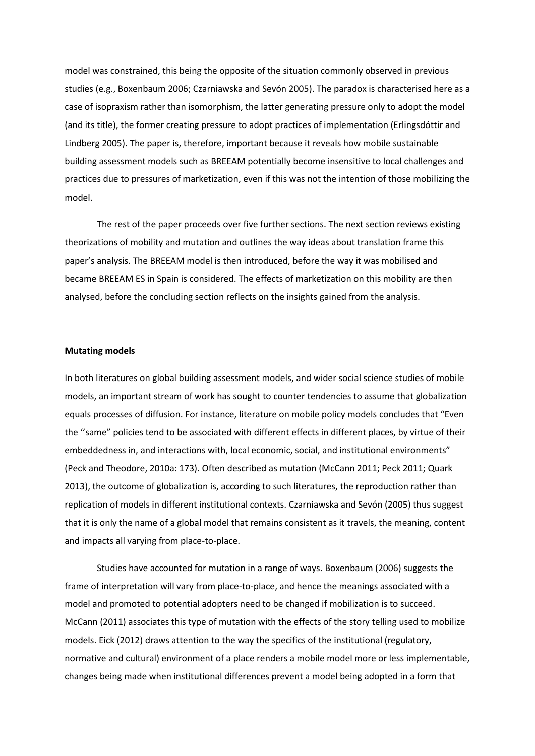model was constrained, this being the opposite of the situation commonly observed in previous studies (e.g., Boxenbaum 2006; Czarniawska and Sevón 2005). The paradox is characterised here as a case of isopraxism rather than isomorphism, the latter generating pressure only to adopt the model (and its title), the former creating pressure to adopt practices of implementation (Erlingsdóttir and Lindberg 2005). The paper is, therefore, important because it reveals how mobile sustainable building assessment models such as BREEAM potentially become insensitive to local challenges and practices due to pressures of marketization, even if this was not the intention of those mobilizing the model.

The rest of the paper proceeds over five further sections. The next section reviews existing theorizations of mobility and mutation and outlines the way ideas about translation frame this paper's analysis. The BREEAM model is then introduced, before the way it was mobilised and became BREEAM ES in Spain is considered. The effects of marketization on this mobility are then analysed, before the concluding section reflects on the insights gained from the analysis.

# **Mutating models**

In both literatures on global building assessment models, and wider social science studies of mobile models, an important stream of work has sought to counter tendencies to assume that globalization equals processes of diffusion. For instance, literature on mobile policy models concludes that "Even the ''same" policies tend to be associated with different effects in different places, by virtue of their embeddedness in, and interactions with, local economic, social, and institutional environments" (Peck and Theodore, 2010a: 173). Often described as mutation (McCann 2011; Peck 2011; Quark 2013), the outcome of globalization is, according to such literatures, the reproduction rather than replication of models in different institutional contexts. Czarniawska and Sevón (2005) thus suggest that it is only the name of a global model that remains consistent as it travels, the meaning, content and impacts all varying from place-to-place.

Studies have accounted for mutation in a range of ways. Boxenbaum (2006) suggests the frame of interpretation will vary from place-to-place, and hence the meanings associated with a model and promoted to potential adopters need to be changed if mobilization is to succeed. McCann (2011) associates this type of mutation with the effects of the story telling used to mobilize models. Eick (2012) draws attention to the way the specifics of the institutional (regulatory, normative and cultural) environment of a place renders a mobile model more or less implementable, changes being made when institutional differences prevent a model being adopted in a form that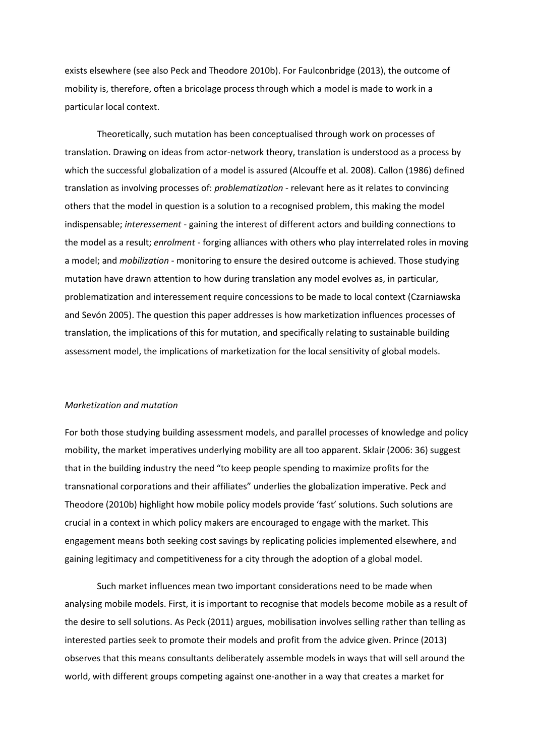exists elsewhere (see also Peck and Theodore 2010b). For Faulconbridge (2013), the outcome of mobility is, therefore, often a bricolage process through which a model is made to work in a particular local context.

Theoretically, such mutation has been conceptualised through work on processes of translation. Drawing on ideas from actor-network theory, translation is understood as a process by which the successful globalization of a model is assured (Alcouffe et al. 2008). Callon (1986) defined translation as involving processes of: *problematization* - relevant here as it relates to convincing others that the model in question is a solution to a recognised problem, this making the model indispensable; *interessement* - gaining the interest of different actors and building connections to the model as a result; *enrolment* - forging alliances with others who play interrelated roles in moving a model; and *mobilization* - monitoring to ensure the desired outcome is achieved. Those studying mutation have drawn attention to how during translation any model evolves as, in particular, problematization and interessement require concessions to be made to local context (Czarniawska and Sevón 2005). The question this paper addresses is how marketization influences processes of translation, the implications of this for mutation, and specifically relating to sustainable building assessment model, the implications of marketization for the local sensitivity of global models.

#### *Marketization and mutation*

For both those studying building assessment models, and parallel processes of knowledge and policy mobility, the market imperatives underlying mobility are all too apparent. Sklair (2006: 36) suggest that in the building industry the need "to keep people spending to maximize profits for the transnational corporations and their affiliates" underlies the globalization imperative. Peck and Theodore (2010b) highlight how mobile policy models provide 'fast' solutions. Such solutions are crucial in a context in which policy makers are encouraged to engage with the market. This engagement means both seeking cost savings by replicating policies implemented elsewhere, and gaining legitimacy and competitiveness for a city through the adoption of a global model.

Such market influences mean two important considerations need to be made when analysing mobile models. First, it is important to recognise that models become mobile as a result of the desire to sell solutions. As Peck (2011) argues, mobilisation involves selling rather than telling as interested parties seek to promote their models and profit from the advice given. Prince (2013) observes that this means consultants deliberately assemble models in ways that will sell around the world, with different groups competing against one-another in a way that creates a market for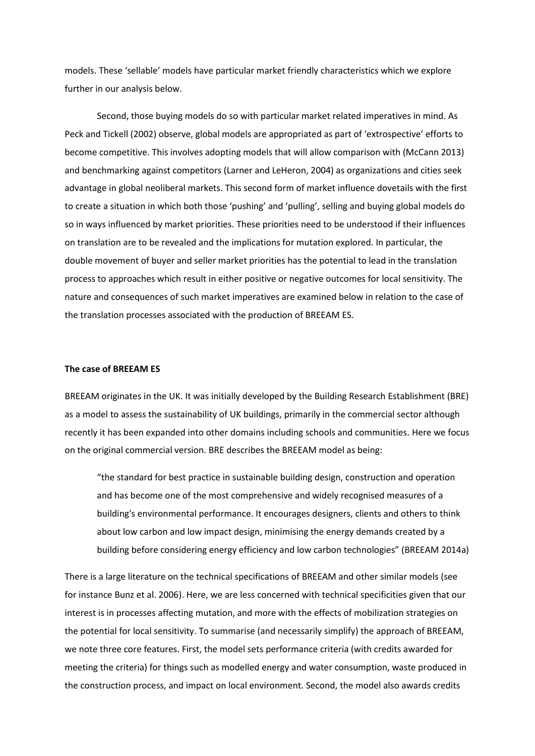models. These 'sellable' models have particular market friendly characteristics which we explore further in our analysis below.

Second, those buying models do so with particular market related imperatives in mind. As Peck and Tickell (2002) observe, global models are appropriated as part of 'extrospective' efforts to become competitive. This involves adopting models that will allow comparison with (McCann 2013) and benchmarking against competitors (Larner and LeHeron, 2004) as organizations and cities seek advantage in global neoliberal markets. This second form of market influence dovetails with the first to create a situation in which both those 'pushing' and 'pulling', selling and buying global models do so in ways influenced by market priorities. These priorities need to be understood if their influences on translation are to be revealed and the implications for mutation explored. In particular, the double movement of buyer and seller market priorities has the potential to lead in the translation process to approaches which result in either positive or negative outcomes for local sensitivity. The nature and consequences of such market imperatives are examined below in relation to the case of the translation processes associated with the production of BREEAM ES.

# **The case of BREEAM ES**

BREEAM originates in the UK. It was initially developed by the Building Research Establishment (BRE) as a model to assess the sustainability of UK buildings, primarily in the commercial sector although recently it has been expanded into other domains including schools and communities. Here we focus on the original commercial version. BRE describes the BREEAM model as being:

"the standard for best practice in sustainable building design, construction and operation and has become one of the most comprehensive and widely recognised measures of a building's environmental performance. It encourages designers, clients and others to think about low carbon and low impact design, minimising the energy demands created by a building before considering energy efficiency and low carbon technologies" (BREEAM 2014a)

There is a large literature on the technical specifications of BREEAM and other similar models (see for instance Bunz et al. 2006). Here, we are less concerned with technical specificities given that our interest is in processes affecting mutation, and more with the effects of mobilization strategies on the potential for local sensitivity. To summarise (and necessarily simplify) the approach of BREEAM, we note three core features. First, the model sets performance criteria (with credits awarded for meeting the criteria) for things such as modelled energy and water consumption, waste produced in the construction process, and impact on local environment. Second, the model also awards credits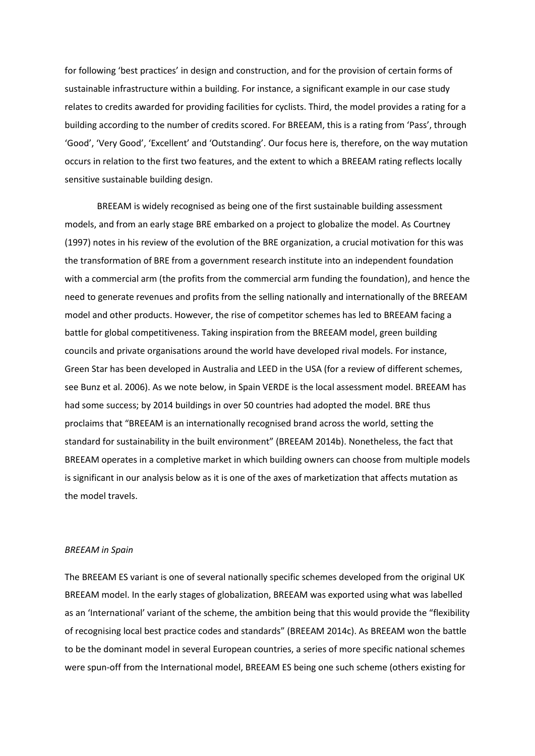for following 'best practices' in design and construction, and for the provision of certain forms of sustainable infrastructure within a building. For instance, a significant example in our case study relates to credits awarded for providing facilities for cyclists. Third, the model provides a rating for a building according to the number of credits scored. For BREEAM, this is a rating from 'Pass', through 'Good', 'Very Good', 'Excellent' and 'Outstanding'. Our focus here is, therefore, on the way mutation occurs in relation to the first two features, and the extent to which a BREEAM rating reflects locally sensitive sustainable building design.

BREEAM is widely recognised as being one of the first sustainable building assessment models, and from an early stage BRE embarked on a project to globalize the model. As Courtney (1997) notes in his review of the evolution of the BRE organization, a crucial motivation for this was the transformation of BRE from a government research institute into an independent foundation with a commercial arm (the profits from the commercial arm funding the foundation), and hence the need to generate revenues and profits from the selling nationally and internationally of the BREEAM model and other products. However, the rise of competitor schemes has led to BREEAM facing a battle for global competitiveness. Taking inspiration from the BREEAM model, green building councils and private organisations around the world have developed rival models. For instance, Green Star has been developed in Australia and LEED in the USA (for a review of different schemes, see Bunz et al. 2006). As we note below, in Spain VERDE is the local assessment model. BREEAM has had some success; by 2014 buildings in over 50 countries had adopted the model. BRE thus proclaims that "BREEAM is an internationally recognised brand across the world, setting the standard for sustainability in the built environment" (BREEAM 2014b). Nonetheless, the fact that BREEAM operates in a completive market in which building owners can choose from multiple models is significant in our analysis below as it is one of the axes of marketization that affects mutation as the model travels.

#### *BREEAM in Spain*

The BREEAM ES variant is one of several nationally specific schemes developed from the original UK BREEAM model. In the early stages of globalization, BREEAM was exported using what was labelled as an 'International' variant of the scheme, the ambition being that this would provide the "flexibility of recognising local best practice codes and standards" (BREEAM 2014c). As BREEAM won the battle to be the dominant model in several European countries, a series of more specific national schemes were spun-off from the International model, BREEAM ES being one such scheme (others existing for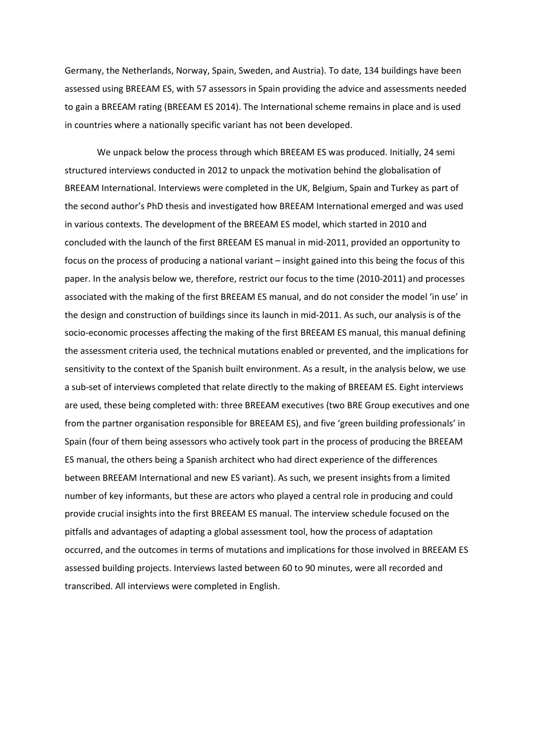Germany, the Netherlands, Norway, Spain, Sweden, and Austria). To date, 134 buildings have been assessed using BREEAM ES, with 57 assessors in Spain providing the advice and assessments needed to gain a BREEAM rating (BREEAM ES 2014). The International scheme remains in place and is used in countries where a nationally specific variant has not been developed.

We unpack below the process through which BREEAM ES was produced. Initially, 24 semi structured interviews conducted in 2012 to unpack the motivation behind the globalisation of BREEAM International. Interviews were completed in the UK, Belgium, Spain and Turkey as part of the second author's PhD thesis and investigated how BREEAM International emerged and was used in various contexts. The development of the BREEAM ES model, which started in 2010 and concluded with the launch of the first BREEAM ES manual in mid-2011, provided an opportunity to focus on the process of producing a national variant – insight gained into this being the focus of this paper. In the analysis below we, therefore, restrict our focus to the time (2010-2011) and processes associated with the making of the first BREEAM ES manual, and do not consider the model 'in use' in the design and construction of buildings since its launch in mid-2011. As such, our analysis is of the socio-economic processes affecting the making of the first BREEAM ES manual, this manual defining the assessment criteria used, the technical mutations enabled or prevented, and the implications for sensitivity to the context of the Spanish built environment. As a result, in the analysis below, we use a sub-set of interviews completed that relate directly to the making of BREEAM ES. Eight interviews are used, these being completed with: three BREEAM executives (two BRE Group executives and one from the partner organisation responsible for BREEAM ES), and five 'green building professionals' in Spain (four of them being assessors who actively took part in the process of producing the BREEAM ES manual, the others being a Spanish architect who had direct experience of the differences between BREEAM International and new ES variant). As such, we present insights from a limited number of key informants, but these are actors who played a central role in producing and could provide crucial insights into the first BREEAM ES manual. The interview schedule focused on the pitfalls and advantages of adapting a global assessment tool, how the process of adaptation occurred, and the outcomes in terms of mutations and implications for those involved in BREEAM ES assessed building projects. Interviews lasted between 60 to 90 minutes, were all recorded and transcribed. All interviews were completed in English.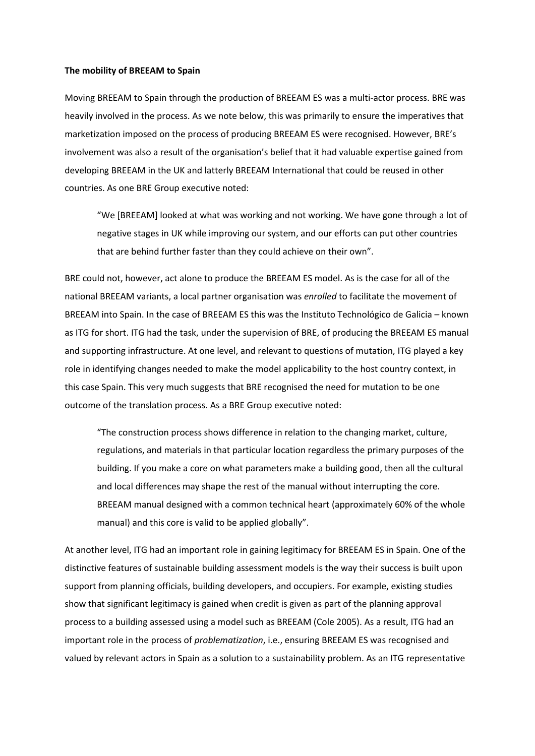#### **The mobility of BREEAM to Spain**

Moving BREEAM to Spain through the production of BREEAM ES was a multi-actor process. BRE was heavily involved in the process. As we note below, this was primarily to ensure the imperatives that marketization imposed on the process of producing BREEAM ES were recognised. However, BRE's involvement was also a result of the organisation's belief that it had valuable expertise gained from developing BREEAM in the UK and latterly BREEAM International that could be reused in other countries. As one BRE Group executive noted:

"We [BREEAM] looked at what was working and not working. We have gone through a lot of negative stages in UK while improving our system, and our efforts can put other countries that are behind further faster than they could achieve on their own".

BRE could not, however, act alone to produce the BREEAM ES model. As is the case for all of the national BREEAM variants, a local partner organisation was *enrolled* to facilitate the movement of BREEAM into Spain. In the case of BREEAM ES this was the Instituto Technológico de Galicia – known as ITG for short. ITG had the task, under the supervision of BRE, of producing the BREEAM ES manual and supporting infrastructure. At one level, and relevant to questions of mutation, ITG played a key role in identifying changes needed to make the model applicability to the host country context, in this case Spain. This very much suggests that BRE recognised the need for mutation to be one outcome of the translation process. As a BRE Group executive noted:

"The construction process shows difference in relation to the changing market, culture, regulations, and materials in that particular location regardless the primary purposes of the building. If you make a core on what parameters make a building good, then all the cultural and local differences may shape the rest of the manual without interrupting the core. BREEAM manual designed with a common technical heart (approximately 60% of the whole manual) and this core is valid to be applied globally".

At another level, ITG had an important role in gaining legitimacy for BREEAM ES in Spain. One of the distinctive features of sustainable building assessment models is the way their success is built upon support from planning officials, building developers, and occupiers. For example, existing studies show that significant legitimacy is gained when credit is given as part of the planning approval process to a building assessed using a model such as BREEAM (Cole 2005). As a result, ITG had an important role in the process of *problematization*, i.e., ensuring BREEAM ES was recognised and valued by relevant actors in Spain as a solution to a sustainability problem. As an ITG representative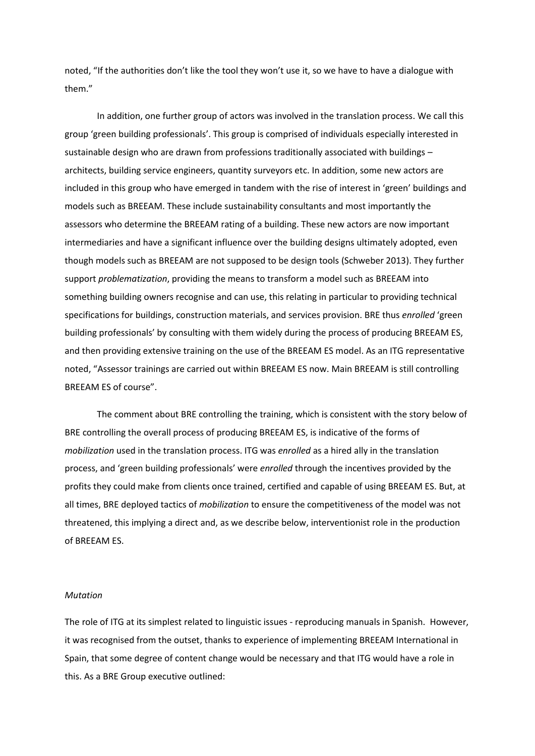noted, "If the authorities don't like the tool they won't use it, so we have to have a dialogue with them."

In addition, one further group of actors was involved in the translation process. We call this group 'green building professionals'. This group is comprised of individuals especially interested in sustainable design who are drawn from professions traditionally associated with buildings – architects, building service engineers, quantity surveyors etc. In addition, some new actors are included in this group who have emerged in tandem with the rise of interest in 'green' buildings and models such as BREEAM. These include sustainability consultants and most importantly the assessors who determine the BREEAM rating of a building. These new actors are now important intermediaries and have a significant influence over the building designs ultimately adopted, even though models such as BREEAM are not supposed to be design tools (Schweber 2013). They further support *problematization*, providing the means to transform a model such as BREEAM into something building owners recognise and can use, this relating in particular to providing technical specifications for buildings, construction materials, and services provision. BRE thus *enrolled* 'green building professionals' by consulting with them widely during the process of producing BREEAM ES, and then providing extensive training on the use of the BREEAM ES model. As an ITG representative noted, "Assessor trainings are carried out within BREEAM ES now. Main BREEAM is still controlling BREEAM ES of course".

The comment about BRE controlling the training, which is consistent with the story below of BRE controlling the overall process of producing BREEAM ES, is indicative of the forms of *mobilization* used in the translation process. ITG was *enrolled* as a hired ally in the translation process, and 'green building professionals' were *enrolled* through the incentives provided by the profits they could make from clients once trained, certified and capable of using BREEAM ES. But, at all times, BRE deployed tactics of *mobilization* to ensure the competitiveness of the model was not threatened, this implying a direct and, as we describe below, interventionist role in the production of BREEAM ES.

#### *Mutation*

The role of ITG at its simplest related to linguistic issues - reproducing manuals in Spanish. However, it was recognised from the outset, thanks to experience of implementing BREEAM International in Spain, that some degree of content change would be necessary and that ITG would have a role in this. As a BRE Group executive outlined: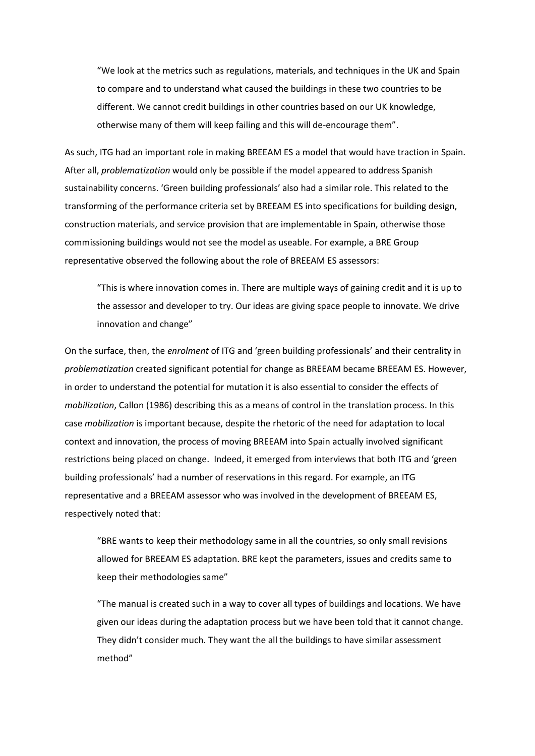"We look at the metrics such as regulations, materials, and techniques in the UK and Spain to compare and to understand what caused the buildings in these two countries to be different. We cannot credit buildings in other countries based on our UK knowledge, otherwise many of them will keep failing and this will de-encourage them".

As such, ITG had an important role in making BREEAM ES a model that would have traction in Spain. After all, *problematization* would only be possible if the model appeared to address Spanish sustainability concerns. 'Green building professionals' also had a similar role. This related to the transforming of the performance criteria set by BREEAM ES into specifications for building design, construction materials, and service provision that are implementable in Spain, otherwise those commissioning buildings would not see the model as useable. For example, a BRE Group representative observed the following about the role of BREEAM ES assessors:

"This is where innovation comes in. There are multiple ways of gaining credit and it is up to the assessor and developer to try. Our ideas are giving space people to innovate. We drive innovation and change"

On the surface, then, the *enrolment* of ITG and 'green building professionals' and their centrality in *problematization* created significant potential for change as BREEAM became BREEAM ES. However, in order to understand the potential for mutation it is also essential to consider the effects of *mobilization*, Callon (1986) describing this as a means of control in the translation process. In this case *mobilization* is important because, despite the rhetoric of the need for adaptation to local context and innovation, the process of moving BREEAM into Spain actually involved significant restrictions being placed on change. Indeed, it emerged from interviews that both ITG and 'green building professionals' had a number of reservations in this regard. For example, an ITG representative and a BREEAM assessor who was involved in the development of BREEAM ES, respectively noted that:

"BRE wants to keep their methodology same in all the countries, so only small revisions allowed for BREEAM ES adaptation. BRE kept the parameters, issues and credits same to keep their methodologies same"

"The manual is created such in a way to cover all types of buildings and locations. We have given our ideas during the adaptation process but we have been told that it cannot change. They didn't consider much. They want the all the buildings to have similar assessment method"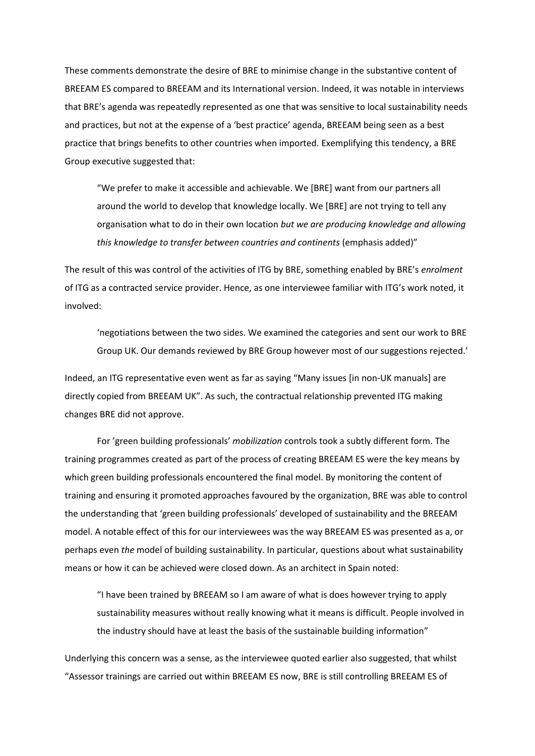These comments demonstrate the desire of BRE to minimise change in the substantive content of BREEAM ES compared to BREEAM and its International version. Indeed, it was notable in interviews that BRE's agenda was repeatedly represented as one that was sensitive to local sustainability needs and practices, but not at the expense of a 'best practice' agenda, BREEAM being seen as a best practice that brings benefits to other countries when imported. Exemplifying this tendency, a BRE Group executive suggested that:

"We prefer to make it accessible and achievable. We [BRE] want from our partners all around the world to develop that knowledge locally. We [BRE] are not trying to tell any organisation what to do in their own location *but we are producing knowledge and allowing this knowledge to transfer between countries and continents* (emphasis added)"

The result of this was control of the activities of ITG by BRE, something enabled by BRE's *enrolment* of ITG as a contracted service provider. Hence, as one interviewee familiar with ITG's work noted, it involved:

'negotiations between the two sides. We examined the categories and sent our work to BRE Group UK. Our demands reviewed by BRE Group however most of our suggestions rejected.'

Indeed, an ITG representative even went as far as saying "Many issues [in non-UK manuals] are directly copied from BREEAM UK". As such, the contractual relationship prevented ITG making changes BRE did not approve.

For 'green building professionals' *mobilization* controls took a subtly different form. The training programmes created as part of the process of creating BREEAM ES were the key means by which green building professionals encountered the final model. By monitoring the content of training and ensuring it promoted approaches favoured by the organization, BRE was able to control the understanding that 'green building professionals' developed of sustainability and the BREEAM model. A notable effect of this for our interviewees was the way BREEAM ES was presented as a, or perhaps even *the* model of building sustainability. In particular, questions about what sustainability means or how it can be achieved were closed down. As an architect in Spain noted:

"I have been trained by BREEAM so I am aware of what is does however trying to apply sustainability measures without really knowing what it means is difficult. People involved in the industry should have at least the basis of the sustainable building information"

Underlying this concern was a sense, as the interviewee quoted earlier also suggested, that whilst "Assessor trainings are carried out within BREEAM ES now, BRE is still controlling BREEAM ES of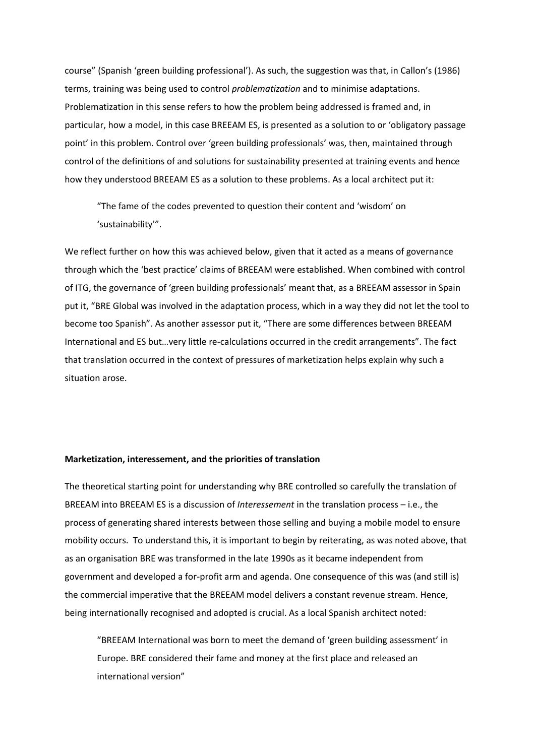course" (Spanish 'green building professional'). As such, the suggestion was that, in Callon's (1986) terms, training was being used to control *problematization* and to minimise adaptations. Problematization in this sense refers to how the problem being addressed is framed and, in particular, how a model, in this case BREEAM ES, is presented as a solution to or 'obligatory passage point' in this problem. Control over 'green building professionals' was, then, maintained through control of the definitions of and solutions for sustainability presented at training events and hence how they understood BREEAM ES as a solution to these problems. As a local architect put it:

"The fame of the codes prevented to question their content and 'wisdom' on 'sustainability'".

We reflect further on how this was achieved below, given that it acted as a means of governance through which the 'best practice' claims of BREEAM were established. When combined with control of ITG, the governance of 'green building professionals' meant that, as a BREEAM assessor in Spain put it, "BRE Global was involved in the adaptation process, which in a way they did not let the tool to become too Spanish". As another assessor put it, "There are some differences between BREEAM International and ES but…very little re-calculations occurred in the credit arrangements". The fact that translation occurred in the context of pressures of marketization helps explain why such a situation arose.

#### **Marketization, interessement, and the priorities of translation**

The theoretical starting point for understanding why BRE controlled so carefully the translation of BREEAM into BREEAM ES is a discussion of *Interessement* in the translation process – i.e., the process of generating shared interests between those selling and buying a mobile model to ensure mobility occurs. To understand this, it is important to begin by reiterating, as was noted above, that as an organisation BRE was transformed in the late 1990s as it became independent from government and developed a for-profit arm and agenda. One consequence of this was (and still is) the commercial imperative that the BREEAM model delivers a constant revenue stream. Hence, being internationally recognised and adopted is crucial. As a local Spanish architect noted:

"BREEAM International was born to meet the demand of 'green building assessment' in Europe. BRE considered their fame and money at the first place and released an international version"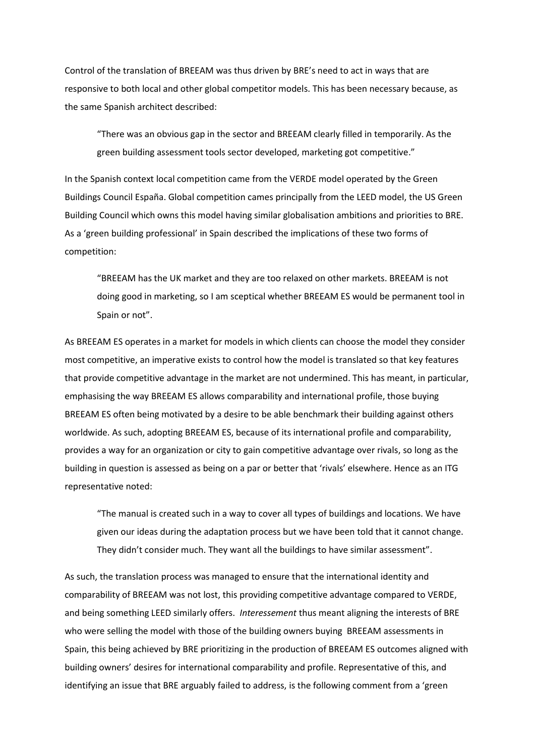Control of the translation of BREEAM was thus driven by BRE's need to act in ways that are responsive to both local and other global competitor models. This has been necessary because, as the same Spanish architect described:

"There was an obvious gap in the sector and BREEAM clearly filled in temporarily. As the green building assessment tools sector developed, marketing got competitive."

In the Spanish context local competition came from the VERDE model operated by the Green Buildings Council España. Global competition cames principally from the LEED model, the US Green Building Council which owns this model having similar globalisation ambitions and priorities to BRE. As a 'green building professional' in Spain described the implications of these two forms of competition:

"BREEAM has the UK market and they are too relaxed on other markets. BREEAM is not doing good in marketing, so I am sceptical whether BREEAM ES would be permanent tool in Spain or not".

As BREEAM ES operates in a market for models in which clients can choose the model they consider most competitive, an imperative exists to control how the model is translated so that key features that provide competitive advantage in the market are not undermined. This has meant, in particular, emphasising the way BREEAM ES allows comparability and international profile, those buying BREEAM ES often being motivated by a desire to be able benchmark their building against others worldwide. As such, adopting BREEAM ES, because of its international profile and comparability, provides a way for an organization or city to gain competitive advantage over rivals, so long as the building in question is assessed as being on a par or better that 'rivals' elsewhere. Hence as an ITG representative noted:

"The manual is created such in a way to cover all types of buildings and locations. We have given our ideas during the adaptation process but we have been told that it cannot change. They didn't consider much. They want all the buildings to have similar assessment".

As such, the translation process was managed to ensure that the international identity and comparability of BREEAM was not lost, this providing competitive advantage compared to VERDE, and being something LEED similarly offers. *Interessement* thus meant aligning the interests of BRE who were selling the model with those of the building owners buying BREEAM assessments in Spain, this being achieved by BRE prioritizing in the production of BREEAM ES outcomes aligned with building owners' desires for international comparability and profile. Representative of this, and identifying an issue that BRE arguably failed to address, is the following comment from a 'green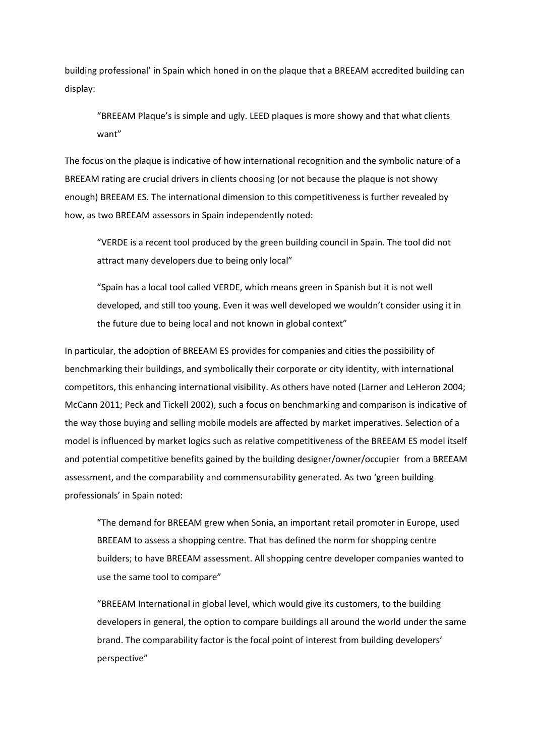building professional' in Spain which honed in on the plaque that a BREEAM accredited building can display:

"BREEAM Plaque's is simple and ugly. LEED plaques is more showy and that what clients want"

The focus on the plaque is indicative of how international recognition and the symbolic nature of a BREEAM rating are crucial drivers in clients choosing (or not because the plaque is not showy enough) BREEAM ES. The international dimension to this competitiveness is further revealed by how, as two BREEAM assessors in Spain independently noted:

"VERDE is a recent tool produced by the green building council in Spain. The tool did not attract many developers due to being only local"

"Spain has a local tool called VERDE, which means green in Spanish but it is not well developed, and still too young. Even it was well developed we wouldn't consider using it in the future due to being local and not known in global context"

In particular, the adoption of BREEAM ES provides for companies and cities the possibility of benchmarking their buildings, and symbolically their corporate or city identity, with international competitors, this enhancing international visibility. As others have noted (Larner and LeHeron 2004; McCann 2011; Peck and Tickell 2002), such a focus on benchmarking and comparison is indicative of the way those buying and selling mobile models are affected by market imperatives. Selection of a model is influenced by market logics such as relative competitiveness of the BREEAM ES model itself and potential competitive benefits gained by the building designer/owner/occupier from a BREEAM assessment, and the comparability and commensurability generated. As two 'green building professionals' in Spain noted:

"The demand for BREEAM grew when Sonia, an important retail promoter in Europe, used BREEAM to assess a shopping centre. That has defined the norm for shopping centre builders; to have BREEAM assessment. All shopping centre developer companies wanted to use the same tool to compare"

"BREEAM International in global level, which would give its customers, to the building developers in general, the option to compare buildings all around the world under the same brand. The comparability factor is the focal point of interest from building developers' perspective"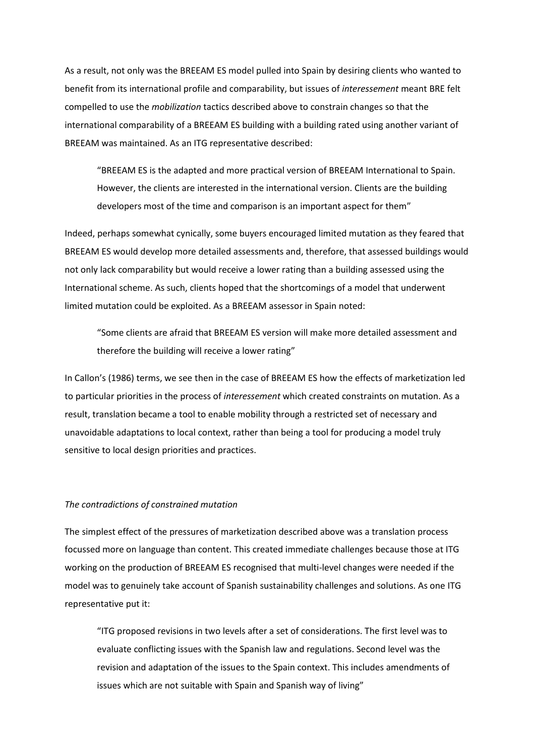As a result, not only was the BREEAM ES model pulled into Spain by desiring clients who wanted to benefit from its international profile and comparability, but issues of *interessement* meant BRE felt compelled to use the *mobilization* tactics described above to constrain changes so that the international comparability of a BREEAM ES building with a building rated using another variant of BREEAM was maintained. As an ITG representative described:

"BREEAM ES is the adapted and more practical version of BREEAM International to Spain. However, the clients are interested in the international version. Clients are the building developers most of the time and comparison is an important aspect for them"

Indeed, perhaps somewhat cynically, some buyers encouraged limited mutation as they feared that BREEAM ES would develop more detailed assessments and, therefore, that assessed buildings would not only lack comparability but would receive a lower rating than a building assessed using the International scheme. As such, clients hoped that the shortcomings of a model that underwent limited mutation could be exploited. As a BREEAM assessor in Spain noted:

"Some clients are afraid that BREEAM ES version will make more detailed assessment and therefore the building will receive a lower rating"

In Callon's (1986) terms, we see then in the case of BREEAM ES how the effects of marketization led to particular priorities in the process of *interessement* which created constraints on mutation. As a result, translation became a tool to enable mobility through a restricted set of necessary and unavoidable adaptations to local context, rather than being a tool for producing a model truly sensitive to local design priorities and practices.

# *The contradictions of constrained mutation*

The simplest effect of the pressures of marketization described above was a translation process focussed more on language than content. This created immediate challenges because those at ITG working on the production of BREEAM ES recognised that multi-level changes were needed if the model was to genuinely take account of Spanish sustainability challenges and solutions. As one ITG representative put it:

"ITG proposed revisions in two levels after a set of considerations. The first level was to evaluate conflicting issues with the Spanish law and regulations. Second level was the revision and adaptation of the issues to the Spain context. This includes amendments of issues which are not suitable with Spain and Spanish way of living"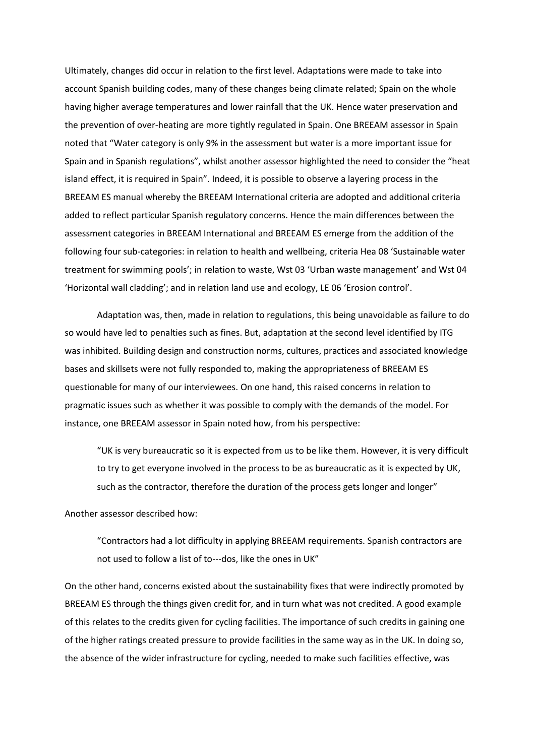Ultimately, changes did occur in relation to the first level. Adaptations were made to take into account Spanish building codes, many of these changes being climate related; Spain on the whole having higher average temperatures and lower rainfall that the UK. Hence water preservation and the prevention of over-heating are more tightly regulated in Spain. One BREEAM assessor in Spain noted that "Water category is only 9% in the assessment but water is a more important issue for Spain and in Spanish regulations", whilst another assessor highlighted the need to consider the "heat island effect, it is required in Spain". Indeed, it is possible to observe a layering process in the BREEAM ES manual whereby the BREEAM International criteria are adopted and additional criteria added to reflect particular Spanish regulatory concerns. Hence the main differences between the assessment categories in BREEAM International and BREEAM ES emerge from the addition of the following four sub-categories: in relation to health and wellbeing, criteria Hea 08 'Sustainable water treatment for swimming pools'; in relation to waste, Wst 03 'Urban waste management' and Wst 04 'Horizontal wall cladding'; and in relation land use and ecology, LE 06 'Erosion control'.

Adaptation was, then, made in relation to regulations, this being unavoidable as failure to do so would have led to penalties such as fines. But, adaptation at the second level identified by ITG was inhibited. Building design and construction norms, cultures, practices and associated knowledge bases and skillsets were not fully responded to, making the appropriateness of BREEAM ES questionable for many of our interviewees. On one hand, this raised concerns in relation to pragmatic issues such as whether it was possible to comply with the demands of the model. For instance, one BREEAM assessor in Spain noted how, from his perspective:

"UK is very bureaucratic so it is expected from us to be like them. However, it is very difficult to try to get everyone involved in the process to be as bureaucratic as it is expected by UK, such as the contractor, therefore the duration of the process gets longer and longer"

Another assessor described how:

"Contractors had a lot difficulty in applying BREEAM requirements. Spanish contractors are not used to follow a list of to---dos, like the ones in UK"

On the other hand, concerns existed about the sustainability fixes that were indirectly promoted by BREEAM ES through the things given credit for, and in turn what was not credited. A good example of this relates to the credits given for cycling facilities. The importance of such credits in gaining one of the higher ratings created pressure to provide facilities in the same way as in the UK. In doing so, the absence of the wider infrastructure for cycling, needed to make such facilities effective, was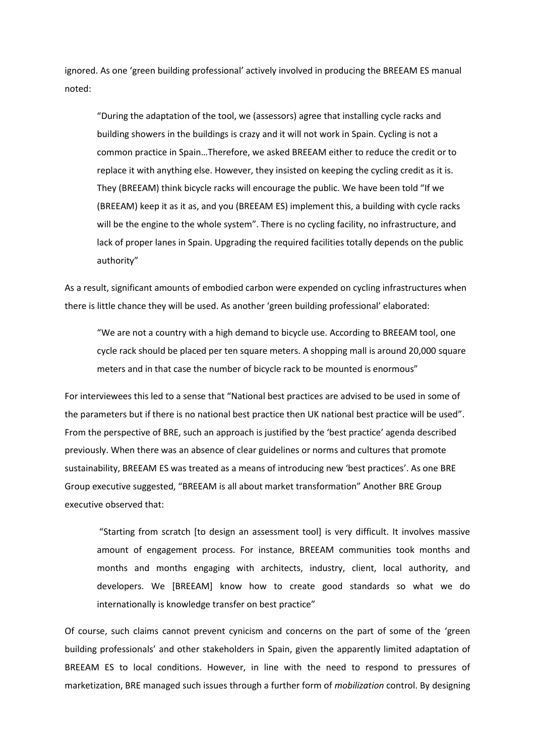ignored. As one 'green building professional' actively involved in producing the BREEAM ES manual noted:

"During the adaptation of the tool, we (assessors) agree that installing cycle racks and building showers in the buildings is crazy and it will not work in Spain. Cycling is not a common practice in Spain…Therefore, we asked BREEAM either to reduce the credit or to replace it with anything else. However, they insisted on keeping the cycling credit as it is. They (BREEAM) think bicycle racks will encourage the public. We have been told "If we (BREEAM) keep it as it as, and you (BREEAM ES) implement this, a building with cycle racks will be the engine to the whole system". There is no cycling facility, no infrastructure, and lack of proper lanes in Spain. Upgrading the required facilities totally depends on the public authority"

As a result, significant amounts of embodied carbon were expended on cycling infrastructures when there is little chance they will be used. As another 'green building professional' elaborated:

"We are not a country with a high demand to bicycle use. According to BREEAM tool, one cycle rack should be placed per ten square meters. A shopping mall is around 20,000 square meters and in that case the number of bicycle rack to be mounted is enormous"

For interviewees this led to a sense that "National best practices are advised to be used in some of the parameters but if there is no national best practice then UK national best practice will be used". From the perspective of BRE, such an approach is justified by the 'best practice' agenda described previously. When there was an absence of clear guidelines or norms and cultures that promote sustainability, BREEAM ES was treated as a means of introducing new 'best practices'. As one BRE Group executive suggested, "BREEAM is all about market transformation" Another BRE Group executive observed that:

"Starting from scratch [to design an assessment tool] is very difficult. It involves massive amount of engagement process. For instance, BREEAM communities took months and months and months engaging with architects, industry, client, local authority, and developers. We [BREEAM] know how to create good standards so what we do internationally is knowledge transfer on best practice"

Of course, such claims cannot prevent cynicism and concerns on the part of some of the 'green building professionals' and other stakeholders in Spain, given the apparently limited adaptation of BREEAM ES to local conditions. However, in line with the need to respond to pressures of marketization, BRE managed such issues through a further form of *mobilization* control. By designing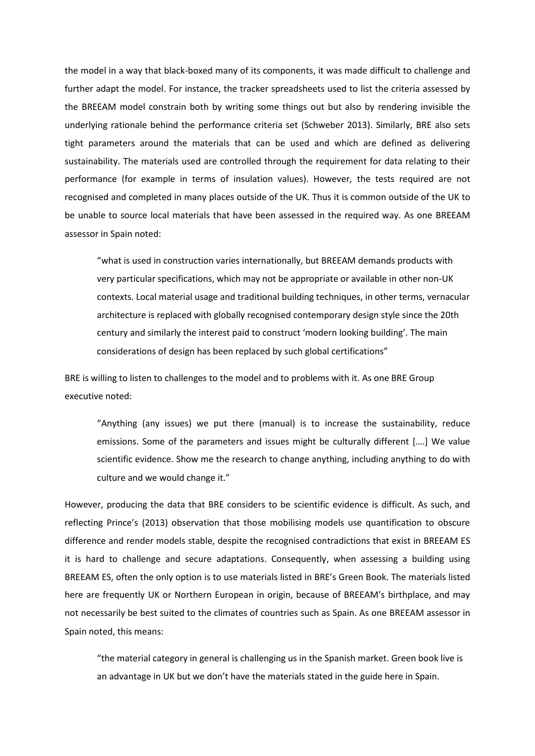the model in a way that black-boxed many of its components, it was made difficult to challenge and further adapt the model. For instance, the tracker spreadsheets used to list the criteria assessed by the BREEAM model constrain both by writing some things out but also by rendering invisible the underlying rationale behind the performance criteria set (Schweber 2013). Similarly, BRE also sets tight parameters around the materials that can be used and which are defined as delivering sustainability. The materials used are controlled through the requirement for data relating to their performance (for example in terms of insulation values). However, the tests required are not recognised and completed in many places outside of the UK. Thus it is common outside of the UK to be unable to source local materials that have been assessed in the required way. As one BREEAM assessor in Spain noted:

"what is used in construction varies internationally, but BREEAM demands products with very particular specifications, which may not be appropriate or available in other non-UK contexts. Local material usage and traditional building techniques, in other terms, vernacular architecture is replaced with globally recognised contemporary design style since the 20th century and similarly the interest paid to construct 'modern looking building'. The main considerations of design has been replaced by such global certifications"

BRE is willing to listen to challenges to the model and to problems with it. As one BRE Group executive noted:

"Anything (any issues) we put there (manual) is to increase the sustainability, reduce emissions. Some of the parameters and issues might be culturally different [….] We value scientific evidence. Show me the research to change anything, including anything to do with culture and we would change it."

However, producing the data that BRE considers to be scientific evidence is difficult. As such, and reflecting Prince's (2013) observation that those mobilising models use quantification to obscure difference and render models stable, despite the recognised contradictions that exist in BREEAM ES it is hard to challenge and secure adaptations. Consequently, when assessing a building using BREEAM ES, often the only option is to use materials listed in BRE's Green Book. The materials listed here are frequently UK or Northern European in origin, because of BREEAM's birthplace, and may not necessarily be best suited to the climates of countries such as Spain. As one BREEAM assessor in Spain noted, this means:

"the material category in general is challenging us in the Spanish market. Green book live is an advantage in UK but we don't have the materials stated in the guide here in Spain.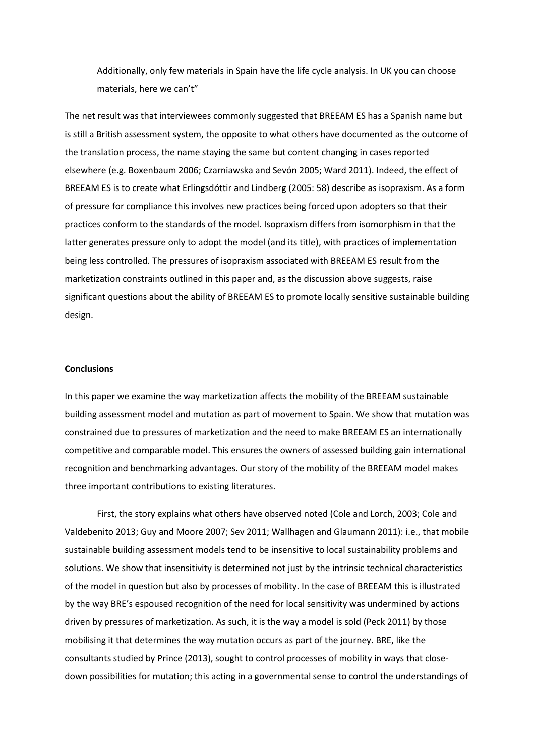Additionally, only few materials in Spain have the life cycle analysis. In UK you can choose materials, here we can't"

The net result was that interviewees commonly suggested that BREEAM ES has a Spanish name but is still a British assessment system, the opposite to what others have documented as the outcome of the translation process, the name staying the same but content changing in cases reported elsewhere (e.g. Boxenbaum 2006; Czarniawska and Sevón 2005; Ward 2011). Indeed, the effect of BREEAM ES is to create what Erlingsdóttir and Lindberg (2005: 58) describe as isopraxism. As a form of pressure for compliance this involves new practices being forced upon adopters so that their practices conform to the standards of the model. Isopraxism differs from isomorphism in that the latter generates pressure only to adopt the model (and its title), with practices of implementation being less controlled. The pressures of isopraxism associated with BREEAM ES result from the marketization constraints outlined in this paper and, as the discussion above suggests, raise significant questions about the ability of BREEAM ES to promote locally sensitive sustainable building design.

# **Conclusions**

In this paper we examine the way marketization affects the mobility of the BREEAM sustainable building assessment model and mutation as part of movement to Spain. We show that mutation was constrained due to pressures of marketization and the need to make BREEAM ES an internationally competitive and comparable model. This ensures the owners of assessed building gain international recognition and benchmarking advantages. Our story of the mobility of the BREEAM model makes three important contributions to existing literatures.

First, the story explains what others have observed noted (Cole and Lorch, 2003; Cole and Valdebenito 2013; Guy and Moore 2007; Sev 2011; Wallhagen and Glaumann 2011): i.e., that mobile sustainable building assessment models tend to be insensitive to local sustainability problems and solutions. We show that insensitivity is determined not just by the intrinsic technical characteristics of the model in question but also by processes of mobility. In the case of BREEAM this is illustrated by the way BRE's espoused recognition of the need for local sensitivity was undermined by actions driven by pressures of marketization. As such, it is the way a model is sold (Peck 2011) by those mobilising it that determines the way mutation occurs as part of the journey. BRE, like the consultants studied by Prince (2013), sought to control processes of mobility in ways that closedown possibilities for mutation; this acting in a governmental sense to control the understandings of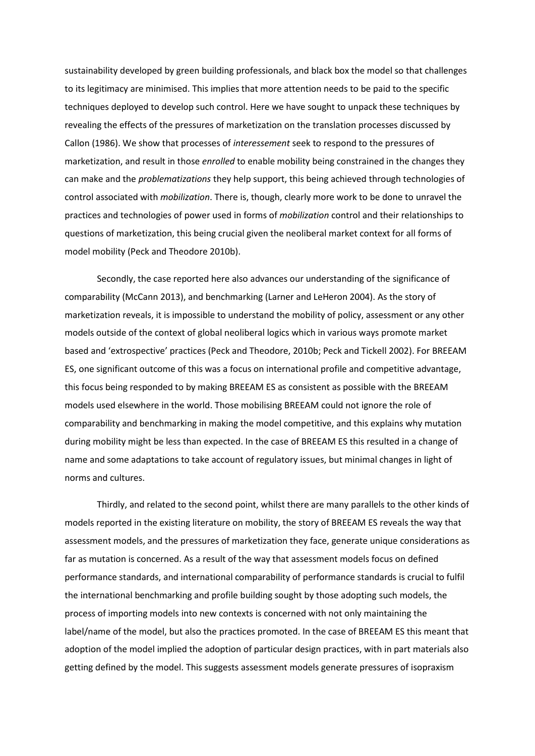sustainability developed by green building professionals, and black box the model so that challenges to its legitimacy are minimised. This implies that more attention needs to be paid to the specific techniques deployed to develop such control. Here we have sought to unpack these techniques by revealing the effects of the pressures of marketization on the translation processes discussed by Callon (1986). We show that processes of *interessement* seek to respond to the pressures of marketization, and result in those *enrolled* to enable mobility being constrained in the changes they can make and the *problematizations* they help support, this being achieved through technologies of control associated with *mobilization*. There is, though, clearly more work to be done to unravel the practices and technologies of power used in forms of *mobilization* control and their relationships to questions of marketization, this being crucial given the neoliberal market context for all forms of model mobility (Peck and Theodore 2010b).

Secondly, the case reported here also advances our understanding of the significance of comparability (McCann 2013), and benchmarking (Larner and LeHeron 2004). As the story of marketization reveals, it is impossible to understand the mobility of policy, assessment or any other models outside of the context of global neoliberal logics which in various ways promote market based and 'extrospective' practices (Peck and Theodore, 2010b; Peck and Tickell 2002). For BREEAM ES, one significant outcome of this was a focus on international profile and competitive advantage, this focus being responded to by making BREEAM ES as consistent as possible with the BREEAM models used elsewhere in the world. Those mobilising BREEAM could not ignore the role of comparability and benchmarking in making the model competitive, and this explains why mutation during mobility might be less than expected. In the case of BREEAM ES this resulted in a change of name and some adaptations to take account of regulatory issues, but minimal changes in light of norms and cultures.

Thirdly, and related to the second point, whilst there are many parallels to the other kinds of models reported in the existing literature on mobility, the story of BREEAM ES reveals the way that assessment models, and the pressures of marketization they face, generate unique considerations as far as mutation is concerned. As a result of the way that assessment models focus on defined performance standards, and international comparability of performance standards is crucial to fulfil the international benchmarking and profile building sought by those adopting such models, the process of importing models into new contexts is concerned with not only maintaining the label/name of the model, but also the practices promoted. In the case of BREEAM ES this meant that adoption of the model implied the adoption of particular design practices, with in part materials also getting defined by the model. This suggests assessment models generate pressures of isopraxism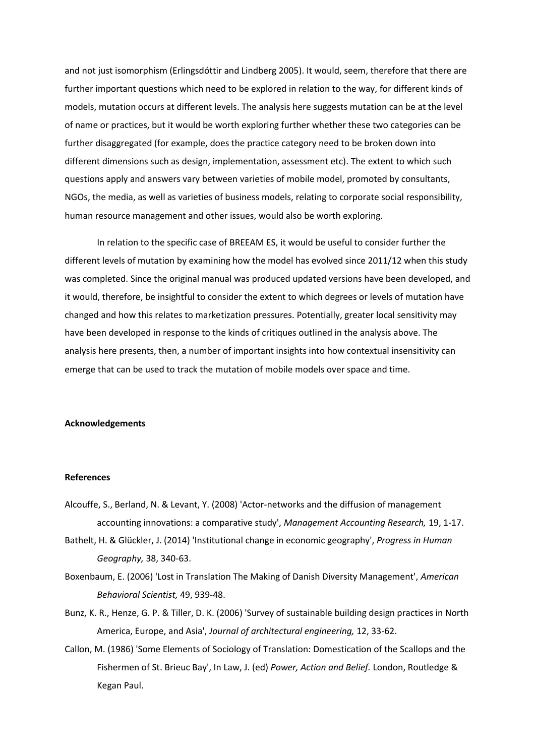and not just isomorphism (Erlingsdóttir and Lindberg 2005). It would, seem, therefore that there are further important questions which need to be explored in relation to the way, for different kinds of models, mutation occurs at different levels. The analysis here suggests mutation can be at the level of name or practices, but it would be worth exploring further whether these two categories can be further disaggregated (for example, does the practice category need to be broken down into different dimensions such as design, implementation, assessment etc). The extent to which such questions apply and answers vary between varieties of mobile model, promoted by consultants, NGOs, the media, as well as varieties of business models, relating to corporate social responsibility, human resource management and other issues, would also be worth exploring.

In relation to the specific case of BREEAM ES, it would be useful to consider further the different levels of mutation by examining how the model has evolved since 2011/12 when this study was completed. Since the original manual was produced updated versions have been developed, and it would, therefore, be insightful to consider the extent to which degrees or levels of mutation have changed and how this relates to marketization pressures. Potentially, greater local sensitivity may have been developed in response to the kinds of critiques outlined in the analysis above. The analysis here presents, then, a number of important insights into how contextual insensitivity can emerge that can be used to track the mutation of mobile models over space and time.

# **Acknowledgements**

#### **References**

- Alcouffe, S., Berland, N. & Levant, Y. (2008) 'Actor-networks and the diffusion of management accounting innovations: a comparative study', *Management Accounting Research,* 19, 1-17.
- Bathelt, H. & Glückler, J. (2014) 'Institutional change in economic geography', *Progress in Human Geography,* 38, 340-63.
- Boxenbaum, E. (2006) 'Lost in Translation The Making of Danish Diversity Management', *American Behavioral Scientist,* 49, 939-48.
- Bunz, K. R., Henze, G. P. & Tiller, D. K. (2006) 'Survey of sustainable building design practices in North America, Europe, and Asia', *Journal of architectural engineering,* 12, 33-62.
- Callon, M. (1986) 'Some Elements of Sociology of Translation: Domestication of the Scallops and the Fishermen of St. Brieuc Bay', In Law, J. (ed) *Power, Action and Belief.* London, Routledge & Kegan Paul.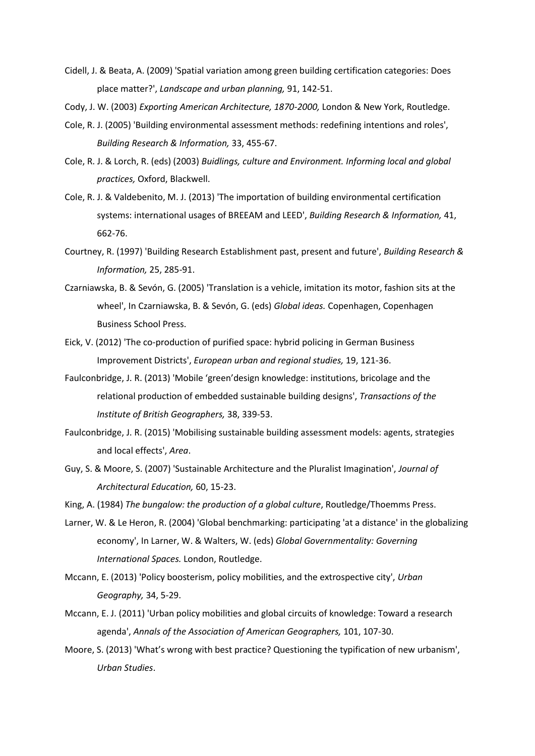- Cidell, J. & Beata, A. (2009) 'Spatial variation among green building certification categories: Does place matter?', *Landscape and urban planning,* 91, 142-51.
- Cody, J. W. (2003) *Exporting American Architecture, 1870-2000,* London & New York, Routledge.
- Cole, R. J. (2005) 'Building environmental assessment methods: redefining intentions and roles', *Building Research & Information,* 33, 455-67.
- Cole, R. J. & Lorch, R. (eds) (2003) *Buidlings, culture and Environment. Informing local and global practices,* Oxford, Blackwell.
- Cole, R. J. & Valdebenito, M. J. (2013) 'The importation of building environmental certification systems: international usages of BREEAM and LEED', *Building Research & Information,* 41, 662-76.
- Courtney, R. (1997) 'Building Research Establishment past, present and future', *Building Research & Information,* 25, 285-91.
- Czarniawska, B. & Sevón, G. (2005) 'Translation is a vehicle, imitation its motor, fashion sits at the wheel', In Czarniawska, B. & Sevón, G. (eds) *Global ideas.* Copenhagen, Copenhagen Business School Press.
- Eick, V. (2012) 'The co-production of purified space: hybrid policing in German Business Improvement Districts', *European urban and regional studies,* 19, 121-36.
- Faulconbridge, J. R. (2013) 'Mobile 'green'design knowledge: institutions, bricolage and the relational production of embedded sustainable building designs', *Transactions of the Institute of British Geographers,* 38, 339-53.
- Faulconbridge, J. R. (2015) 'Mobilising sustainable building assessment models: agents, strategies and local effects', *Area*.
- Guy, S. & Moore, S. (2007) 'Sustainable Architecture and the Pluralist Imagination', *Journal of Architectural Education,* 60, 15-23.

King, A. (1984) *The bungalow: the production of a global culture*, Routledge/Thoemms Press.

- Larner, W. & Le Heron, R. (2004) 'Global benchmarking: participating 'at a distance' in the globalizing economy', In Larner, W. & Walters, W. (eds) *Global Governmentality: Governing International Spaces.* London, Routledge.
- Mccann, E. (2013) 'Policy boosterism, policy mobilities, and the extrospective city', *Urban Geography,* 34, 5-29.
- Mccann, E. J. (2011) 'Urban policy mobilities and global circuits of knowledge: Toward a research agenda', *Annals of the Association of American Geographers,* 101, 107-30.
- Moore, S. (2013) 'What's wrong with best practice? Questioning the typification of new urbanism', *Urban Studies*.